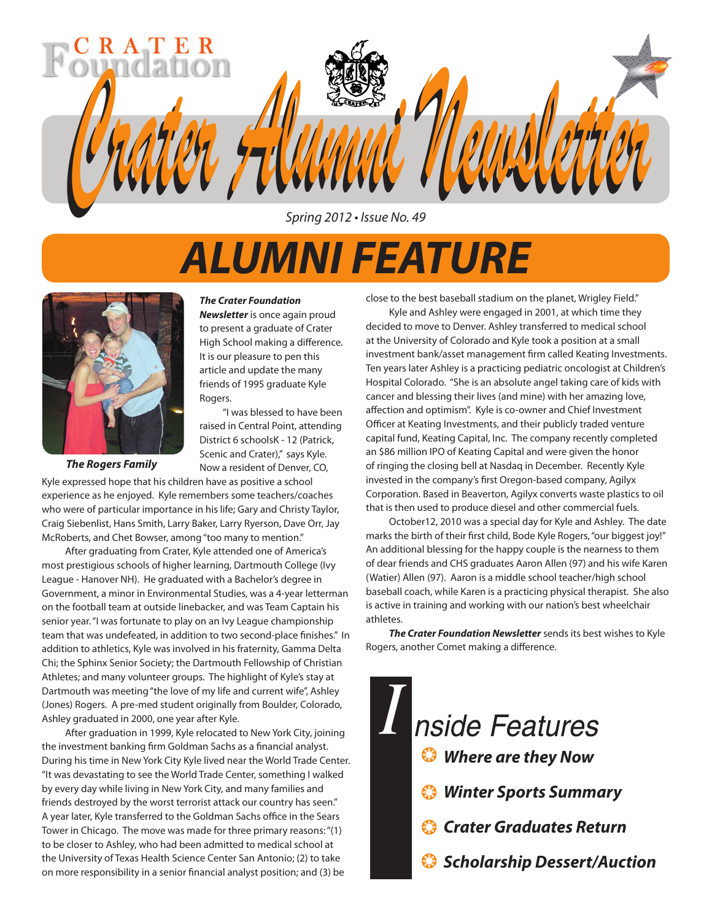

Spring 2012 • Issue No. 49

# *ALUMNI FEATURE*



*The Rogers Family*

Kyle expressed hope that his children have as positive a school raised in Central Point, attending District 6 schoolsK - 12 (Patrick, Scenic and Crater)," says Kyle. Now a resident of Denver, CO,

Rogers.

*The Crater Foundation Newsletter* is once again proud to present a graduate of Crater High School making a difference. It is our pleasure to pen this article and update the many friends of 1995 graduate Kyle

"I was blessed to have been

experience as he enjoyed. Kyle remembers some teachers/coaches who were of particular importance in his life; Gary and Christy Taylor, Craig Siebenlist, Hans Smith, Larry Baker, Larry Ryerson, Dave Orr, Jay McRoberts, and Chet Bowser, among "too many to mention."

After graduating from Crater, Kyle attended one of America's most prestigious schools of higher learning, Dartmouth College (Ivy League - Hanover NH). He graduated with a Bachelor's degree in Government, a minor in Environmental Studies, was a 4-year letterman on the football team at outside linebacker, and was Team Captain his senior year. "I was fortunate to play on an Ivy League championship team that was undefeated, in addition to two second-place finishes." In addition to athletics, Kyle was involved in his fraternity, Gamma Delta Chi; the Sphinx Senior Society; the Dartmouth Fellowship of Christian Athletes; and many volunteer groups. The highlight of Kyle's stay at Dartmouth was meeting "the love of my life and current wife", Ashley (Jones) Rogers. A pre-med student originally from Boulder, Colorado, Ashley graduated in 2000, one year after Kyle.

After graduation in 1999, Kyle relocated to New York City, joining the investment banking firm Goldman Sachs as a financial analyst. During his time in New York City Kyle lived near the World Trade Center. "It was devastating to see the World Trade Center, something I walked by every day while living in New York City, and many families and friends destroyed by the worst terrorist attack our country has seen." A year later, Kyle transferred to the Goldman Sachs office in the Sears Tower in Chicago. The move was made for three primary reasons: "(1) to be closer to Ashley, who had been admitted to medical school at the University of Texas Health Science Center San Antonio; (2) to take on more responsibility in a senior financial analyst position; and (3) be

close to the best baseball stadium on the planet, Wrigley Field."

Kyle and Ashley were engaged in 2001, at which time they decided to move to Denver. Ashley transferred to medical school at the University of Colorado and Kyle took a position at a small investment bank/asset management firm called Keating Investments. Ten years later Ashley is a practicing pediatric oncologist at Children's Hospital Colorado. "She is an absolute angel taking care of kids with cancer and blessing their lives (and mine) with her amazing love, affection and optimism". Kyle is co-owner and Chief Investment Officer at Keating Investments, and their publicly traded venture capital fund, Keating Capital, Inc. The company recently completed an \$86 million IPO of Keating Capital and were given the honor of ringing the closing bell at Nasdaq in December. Recently Kyle invested in the company's first Oregon-based company, Agilyx Corporation. Based in Beaverton, Agilyx converts waste plastics to oil that is then used to produce diesel and other commercial fuels.

October12, 2010 was a special day for Kyle and Ashley. The date marks the birth of their first child, Bode Kyle Rogers, "our biggest joy!" An additional blessing for the happy couple is the nearness to them of dear friends and CHS graduates Aaron Allen (97) and his wife Karen (Watier) Allen (97). Aaron is a middle school teacher/high school baseball coach, while Karen is a practicing physical therapist. She also is active in training and working with our nation's best wheelchair athletes.

*The Crater Foundation Newsletter* sends its best wishes to Kyle Rogers, another Comet making a difference.

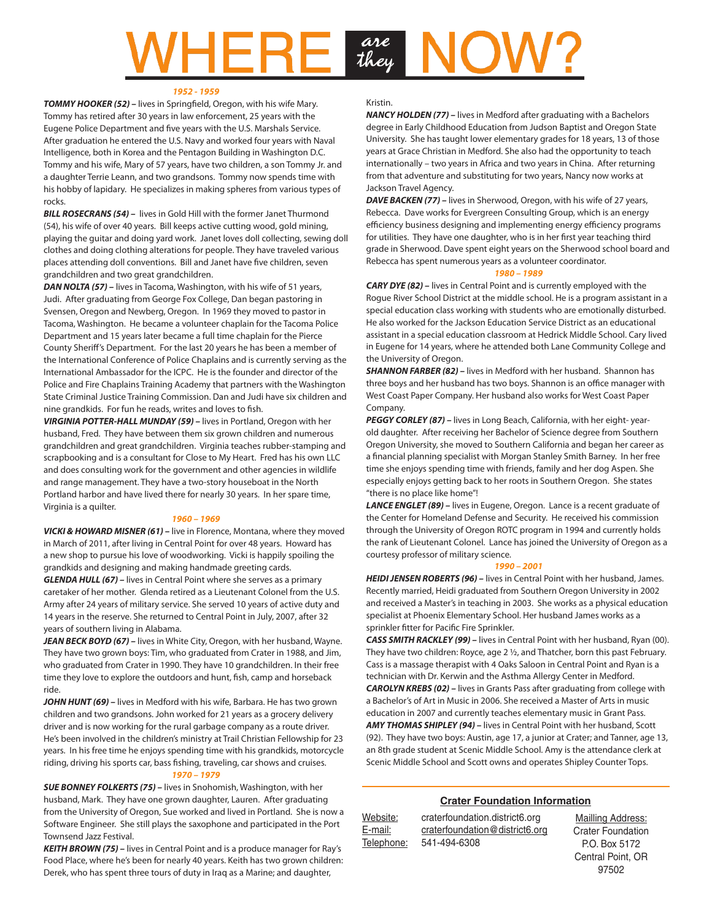# are<br>they

#### *1952 - 1959*

**TOMMY HOOKER (52)** – lives in Springfield, Oregon, with his wife Mary. Tommy has retired after 30 years in law enforcement, 25 years with the Eugene Police Department and five years with the U.S. Marshals Service. After graduation he entered the U.S. Navy and worked four years with Naval Intelligence, both in Korea and the Pentagon Building in Washington D.C. Tommy and his wife, Mary of 57 years, have two children, a son Tommy Jr. and a daughter Terrie Leann, and two grandsons. Tommy now spends time with his hobby of lapidary. He specializes in making spheres from various types of rocks.

*BILL ROSECRANS (54) –* lives in Gold Hill with the former Janet Thurmond (54), his wife of over 40 years. Bill keeps active cutting wood, gold mining, playing the guitar and doing yard work. Janet loves doll collecting, sewing doll clothes and doing clothing alterations for people. They have traveled various places attending doll conventions. Bill and Janet have five children, seven grandchildren and two great grandchildren.

*DAN NOLTA (57) –* lives in Tacoma, Washington, with his wife of 51 years, Judi. After graduating from George Fox College, Dan began pastoring in Svensen, Oregon and Newberg, Oregon. In 1969 they moved to pastor in Tacoma, Washington. He became a volunteer chaplain for the Tacoma Police Department and 15 years later became a full time chaplain for the Pierce County Sheriff's Department. For the last 20 years he has been a member of the International Conference of Police Chaplains and is currently serving as the International Ambassador for the ICPC. He is the founder and director of the Police and Fire Chaplains Training Academy that partners with the Washington State Criminal Justice Training Commission. Dan and Judi have six children and nine grandkids. For fun he reads, writes and loves to fish.

*VIRGINIA POTTER-HALL MUNDAY (59) –* lives in Portland, Oregon with her husband, Fred. They have between them six grown children and numerous grandchildren and great grandchildren. Virginia teaches rubber-stamping and scrapbooking and is a consultant for Close to My Heart. Fred has his own LLC and does consulting work for the government and other agencies in wildlife and range management. They have a two-story houseboat in the North Portland harbor and have lived there for nearly 30 years. In her spare time, Virginia is a quilter.

#### *1960 – 1969*

*VICKI & HOWARD MISNER (61) –* live in Florence, Montana, where they moved in March of 2011, after living in Central Point for over 48 years. Howard has a new shop to pursue his love of woodworking. Vicki is happily spoiling the grandkids and designing and making handmade greeting cards. *GLENDA HULL (67) –* lives in Central Point where she serves as a primary caretaker of her mother. Glenda retired as a Lieutenant Colonel from the U.S. Army after 24 years of military service. She served 10 years of active duty and

14 years in the reserve. She returned to Central Point in July, 2007, after 32 years of southern living in Alabama.

*JEAN BECK BOYD (67) –* lives in White City, Oregon, with her husband, Wayne. They have two grown boys: Tim, who graduated from Crater in 1988, and Jim, who graduated from Crater in 1990. They have 10 grandchildren. In their free time they love to explore the outdoors and hunt, fish, camp and horseback ride.

*JOHN HUNT (69) –* lives in Medford with his wife, Barbara. He has two grown children and two grandsons. John worked for 21 years as a grocery delivery driver and is now working for the rural garbage company as a route driver. He's been involved in the children's ministry at Trail Christian Fellowship for 23 years. In his free time he enjoys spending time with his grandkids, motorcycle riding, driving his sports car, bass fishing, traveling, car shows and cruises.

#### *1970 – 1979*

*SUE BONNEY FOLKERTS (75) –* lives in Snohomish, Washington, with her husband, Mark. They have one grown daughter, Lauren. After graduating from the University of Oregon, Sue worked and lived in Portland. She is now a Software Engineer. She still plays the saxophone and participated in the Port Townsend Jazz Festival.

*KEITH BROWN (75) –* lives in Central Point and is a produce manager for Ray's Food Place, where he's been for nearly 40 years. Keith has two grown children: Derek, who has spent three tours of duty in Iraq as a Marine; and daughter,

#### Kristin.

*NANCY HOLDEN (77) –* lives in Medford after graduating with a Bachelors degree in Early Childhood Education from Judson Baptist and Oregon State University. She has taught lower elementary grades for 18 years, 13 of those years at Grace Christian in Medford. She also had the opportunity to teach internationally – two years in Africa and two years in China. After returning from that adventure and substituting for two years, Nancy now works at Jackson Travel Agency.

*DAVE BACKEN (77) –* lives in Sherwood, Oregon, with his wife of 27 years, Rebecca. Dave works for Evergreen Consulting Group, which is an energy efficiency business designing and implementing energy efficiency programs for utilities. They have one daughter, who is in her first year teaching third grade in Sherwood. Dave spent eight years on the Sherwood school board and Rebecca has spent numerous years as a volunteer coordinator.

#### *1980 – 1989*

*CARY DYE (82) –* lives in Central Point and is currently employed with the Rogue River School District at the middle school. He is a program assistant in a special education class working with students who are emotionally disturbed. He also worked for the Jackson Education Service District as an educational assistant in a special education classroom at Hedrick Middle School. Cary lived in Eugene for 14 years, where he attended both Lane Community College and the University of Oregon.

**SHANNON FARBER (82)** – lives in Medford with her husband. Shannon has three boys and her husband has two boys. Shannon is an office manager with West Coast Paper Company. Her husband also works for West Coast Paper Company.

*PEGGY CORLEY (87) –* lives in Long Beach, California, with her eight- yearold daughter. After receiving her Bachelor of Science degree from Southern Oregon University, she moved to Southern California and began her career as a financial planning specialist with Morgan Stanley Smith Barney. In her free time she enjoys spending time with friends, family and her dog Aspen. She especially enjoys getting back to her roots in Southern Oregon. She states "there is no place like home"!

*LANCE ENGLET (89) –* lives in Eugene, Oregon. Lance is a recent graduate of the Center for Homeland Defense and Security. He received his commission through the University of Oregon ROTC program in 1994 and currently holds the rank of Lieutenant Colonel. Lance has joined the University of Oregon as a courtesy professor of military science.

#### *1990 – 2001*

*HEIDI JENSEN ROBERTS (96) –* lives in Central Point with her husband, James. Recently married, Heidi graduated from Southern Oregon University in 2002 and received a Master's in teaching in 2003. She works as a physical education specialist at Phoenix Elementary School. Her husband James works as a sprinkler fitter for Pacific Fire Sprinkler.

*CASS SMITH RACKLEY (99) –* lives in Central Point with her husband, Ryan (00). They have two children: Royce, age 2 ½, and Thatcher, born this past February. Cass is a massage therapist with 4 Oaks Saloon in Central Point and Ryan is a technician with Dr. Kerwin and the Asthma Allergy Center in Medford. *CAROLYN KREBS (02) –* lives in Grants Pass after graduating from college with a Bachelor's of Art in Music in 2006. She received a Master of Arts in music education in 2007 and currently teaches elementary music in Grant Pass. *AMY THOMAS SHIPLEY (94) –* lives in Central Point with her husband, Scott (92). They have two boys: Austin, age 17, a junior at Crater; and Tanner, age 13, an 8th grade student at Scenic Middle School. Amy is the attendance clerk at Scenic Middle School and Scott owns and operates Shipley Counter Tops.

#### **Crater Foundation Information**

97502

| Website:   | craterfoundation.district6.org | Mailling Address:        |
|------------|--------------------------------|--------------------------|
| E-mail:    | craterfoundation@district6.org | <b>Crater Foundation</b> |
| Telephone: | 541-494-6308                   | P.O. Box 5172            |
|            |                                | Central Point, OR        |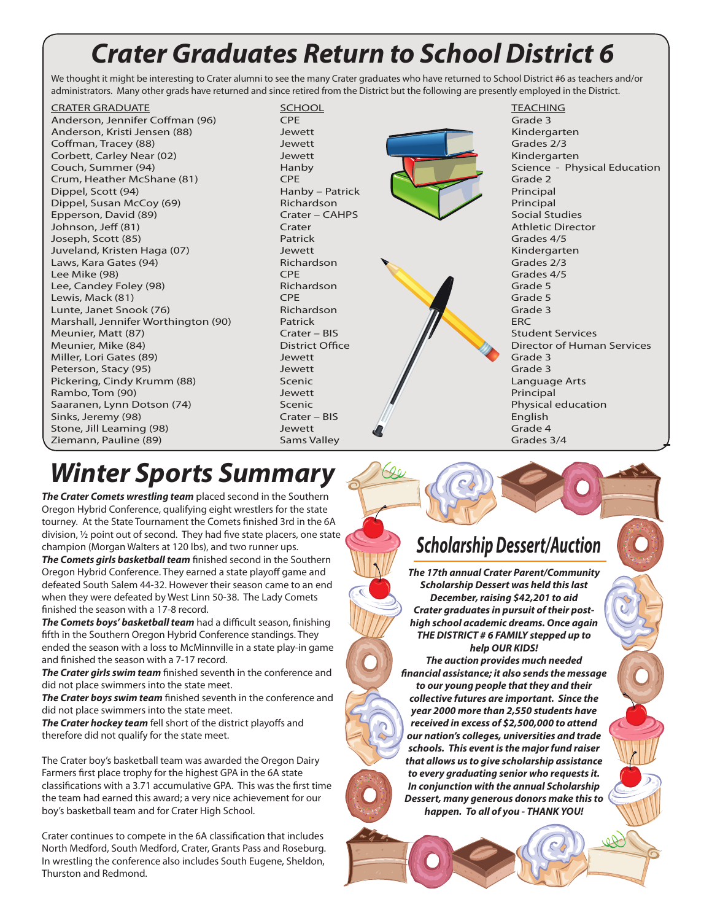## *Crater Graduates Return to School District 6*

We thought it might be interesting to Crater alumni to see the many Crater graduates who have returned to School District #6 as teachers and/or administrators. Many other grads have returned and since retired from the District but the following are presently employed in the District.

**CRATER GRADUATE** SCHOOL SCHOOL SCHOOL TEACHING Anderson, Jennifer Coffman (96) **CPE** Corresponding the Grade 3 Grade 3 Anderson, Kristi Jensen (88) Martin Jewett Kindergarten Kindergarten Kindergarten Kindergarten Kindergarten Kindergarten Kindergarten Kindergarten Kindergarten Kindergarten Kindergarten Kindergarten Kindergarten Kindergart **Coffman, Tracey (88)** The Grades 2/3 Jewett Grades 2/3 Jewett Grades 2/3 Corbett, Carley Near (02) Sewett States And Corbett, Carley Near (02) Jewett Kindergarten Couch, Summer (94) **Hanby** Hanby Science - Physical Education (1998) **Science - Physical Education** Crum, Heather McShane (81) CPE CHE Grade 2 Grade 2 Grade 2 Grade 2 Grade 2 Grade 2 Grade 2 Grade 2 Grade 2 Grade 2 Grade 2 Grade 2 Grade 2 Grade 2 Grade 2 Grade 2 Grade 2 Grade 2 Grade 2 Grade 2 Grade 2 Grade 2 Grade 2 Gra Dippel, Scott (94) **Hanby – Patrick Principal Principal** Principal Principal Principal Principal Principal Principal Principal Principal Principal Principal Principal Principal Principal Principal Principal Principal Princ Dippel, Susan McCoy (69) Epperson, David (89) Crater – CAHPS Social Studies Johnson, Jeff (81) **Crater Athletic Director** Athletic Director Joseph, Scott (85) Patrick Grades 4/5 Juveland, Kristen Haga (07) Jewett Kindergarten Laws, Kara Gates (94) Richardson Grades 2/3 Lee Mike (98) Grades 4<br>
Lee, Candev Folev (98) CPE Grades 4<br>
Grade 5 Lee, Candey Foley (98) Lewis, Mack (81) **CPE** Grade 5 Lunte, Janet Snook (76) **Richardson** Richardson Grade 3 Marshall, Jennifer Worthington (90) Patrick ERC<br>Meunier, Matt (87) Patrick ERC Crater – BIS Stud Meunier, Matt (87) Crater – BIS Student Services Meunier, Mike (84) **District Office District Office** Director of Human Services Miller, Lori Gates (89) **States (89)** Jewett Grade 3 Grade 3 Peterson, Stacy (95) Jewett Grade 3 Pickering, Cindy Krumm (88) Scenic Rambo, Tom (90) **Solution Contract Principal** Jewett Principal Principal Saaranen, Lynn Dotson (74) Scenic Physical education Communisty Control of the Physical education Sinks, Jeremy (98) Crater – BIS Allen Crater – BIS Allen English Stone, Jill Leaming (98) **Stone, Jill Leaming (98)** Jewett Christian Communist Christian Christian Christian Christian Christian Christian Christian Christian Christian Christian Christian Christian Christian Christian Chr Ziemann, Pauline (89)



# *Winter Sports Summary*

*The Crater Comets wrestling team* placed second in the Southern Oregon Hybrid Conference, qualifying eight wrestlers for the state tourney. At the State Tournament the Comets finished 3rd in the 6A division, ½ point out of second. They had five state placers, one state champion (Morgan Walters at 120 lbs), and two runner ups.

*The Comets girls basketball team* finished second in the Southern Oregon Hybrid Conference. They earned a state playoff game and defeated South Salem 44-32. However their season came to an end when they were defeated by West Linn 50-38. The Lady Comets finished the season with a 17-8 record.

*The Comets boys' basketball team* had a difficult season, finishing fifth in the Southern Oregon Hybrid Conference standings. They ended the season with a loss to McMinnville in a state play-in game and finished the season with a 7-17 record.

*The Crater girls swim team* finished seventh in the conference and did not place swimmers into the state meet.

*The Crater boys swim team* finished seventh in the conference and did not place swimmers into the state meet.

*The Crater hockey team* fell short of the district playoffs and therefore did not qualify for the state meet.

The Crater boy's basketball team was awarded the Oregon Dairy Farmers first place trophy for the highest GPA in the 6A state classifications with a 3.71 accumulative GPA. This was the first time the team had earned this award; a very nice achievement for our boy's basketball team and for Crater High School.

Crater continues to compete in the 6A classification that includes North Medford, South Medford, Crater, Grants Pass and Roseburg. In wrestling the conference also includes South Eugene, Sheldon, Thurston and Redmond.

## *Scholarship Dessert/Auction*

*The 17th annual Crater Parent/Community Scholarship Dessert was held this last December, raising \$42,201 to aid Crater graduates in pursuit of their posthigh school academic dreams. Once again THE DISTRICT # 6 FAMILY stepped up to help OUR KIDS!* 

*The auction provides much needed financial assistance; it also sends the message to our young people that they and their collective futures are important. Since the year 2000 more than 2,550 students have received in excess of \$2,500,000 to attend our nation's colleges, universities and trade schools. This event is the major fund raiser that allows us to give scholarship assistance to every graduating senior who requests it. In conjunction with the annual Scholarship Dessert, many generous donors make this to happen. To all of you - THANK YOU!*